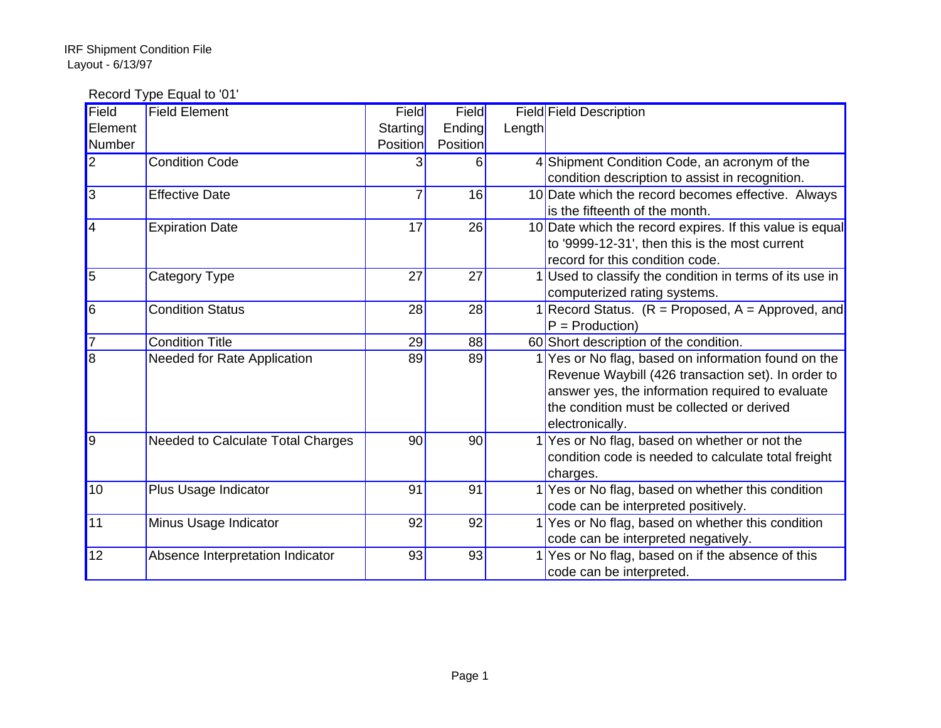Record Type Equal to '01'

| Field                      | <b>Field Element</b>              | Field           | Field    |        | <b>Field Field Description</b>                           |
|----------------------------|-----------------------------------|-----------------|----------|--------|----------------------------------------------------------|
| Element                    |                                   | Starting        | Ending   | Length |                                                          |
| Number                     |                                   | <b>Position</b> | Position |        |                                                          |
| $\overline{2}$             | <b>Condition Code</b>             |                 | 6        |        | 4 Shipment Condition Code, an acronym of the             |
|                            |                                   |                 |          |        | condition description to assist in recognition.          |
| $\vert$ 3                  | <b>Effective Date</b>             |                 | 16       |        | 10 Date which the record becomes effective. Always       |
|                            |                                   |                 |          |        | is the fifteenth of the month.                           |
| $\vert 4$                  | <b>Expiration Date</b>            | 17              | 26       |        | 10 Date which the record expires. If this value is equal |
|                            |                                   |                 |          |        | to '9999-12-31', then this is the most current           |
|                            |                                   |                 |          |        | record for this condition code.                          |
| $\overline{5}$             | Category Type                     | 27              | 27       |        | 1 Used to classify the condition in terms of its use in  |
|                            |                                   |                 |          |        | computerized rating systems.                             |
| $\overline{\phantom{1}}$ 6 | <b>Condition Status</b>           | 28              | 28       |        | 1 Record Status. $(R =$ Proposed, $A =$ Approved, and    |
|                            |                                   |                 |          |        | $P = \text{Production}$                                  |
| 17                         | <b>Condition Title</b>            | 29              | 88       |        | 60 Short description of the condition.                   |
| $\overline{8}$             | Needed for Rate Application       | 89              | 89       |        | 1 Yes or No flag, based on information found on the      |
|                            |                                   |                 |          |        | Revenue Waybill (426 transaction set). In order to       |
|                            |                                   |                 |          |        | answer yes, the information required to evaluate         |
|                            |                                   |                 |          |        | the condition must be collected or derived               |
|                            |                                   |                 |          |        | electronically.                                          |
| $\vert$ 9                  | Needed to Calculate Total Charges | 90              | 90       |        | 1 Yes or No flag, based on whether or not the            |
|                            |                                   |                 |          |        | condition code is needed to calculate total freight      |
|                            |                                   |                 |          |        | charges.                                                 |
| 10 <sup>1</sup>            | Plus Usage Indicator              | 91              | 91       |        | 1 Yes or No flag, based on whether this condition        |
|                            |                                   |                 |          |        | code can be interpreted positively.                      |
| 11                         | Minus Usage Indicator             | 92              | 92       |        | 1 Yes or No flag, based on whether this condition        |
|                            |                                   |                 |          |        | code can be interpreted negatively.                      |
| 12                         | Absence Interpretation Indicator  | 93              | 93       |        | 1 Yes or No flag, based on if the absence of this        |
|                            |                                   |                 |          |        | code can be interpreted.                                 |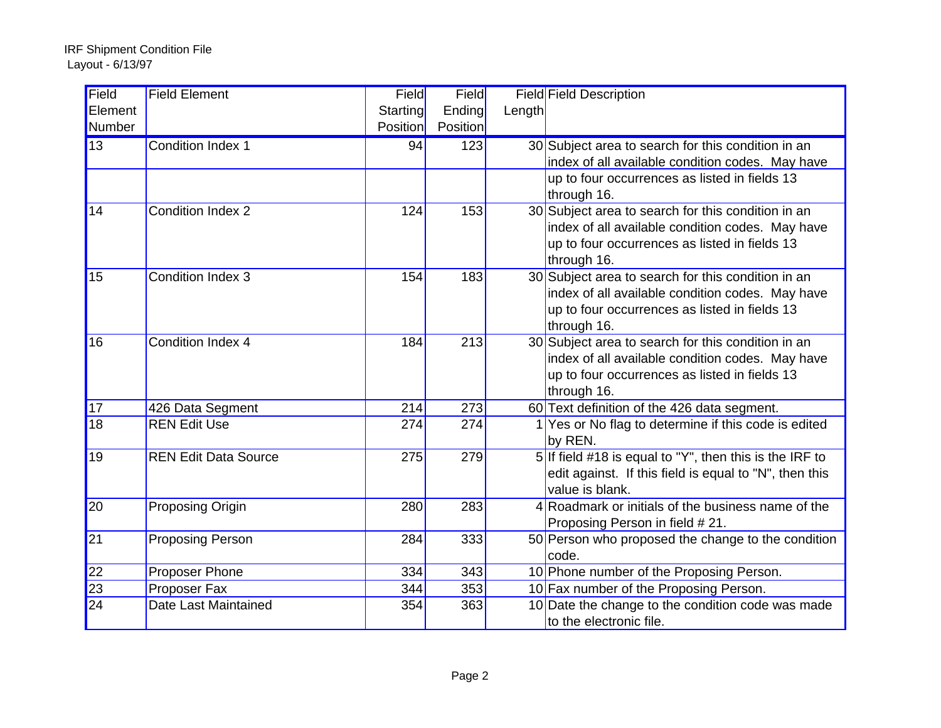| Field           | <b>Field Element</b>           | Field    | Field    |        | <b>Field Field Description</b>                                                     |
|-----------------|--------------------------------|----------|----------|--------|------------------------------------------------------------------------------------|
| Element         |                                | Starting | Ending   | Length |                                                                                    |
| Number          |                                | Position | Position |        |                                                                                    |
| 13              | <b>Condition Index 1</b>       | 94       | 123      |        | 30 Subject area to search for this condition in an                                 |
|                 |                                |          |          |        | index of all available condition codes. May have                                   |
|                 |                                |          |          |        | up to four occurrences as listed in fields 13                                      |
|                 |                                |          |          |        | through 16.                                                                        |
| 14              | <b>Condition Index 2</b>       | 124      | 153      |        | 30 Subject area to search for this condition in an                                 |
|                 |                                |          |          |        | index of all available condition codes. May have                                   |
|                 |                                |          |          |        | up to four occurrences as listed in fields 13                                      |
|                 |                                |          |          |        | through 16.                                                                        |
| 15              | Condition Index 3              | 154      | 183      |        | 30 Subject area to search for this condition in an                                 |
|                 |                                |          |          |        | index of all available condition codes. May have                                   |
|                 |                                |          |          |        | up to four occurrences as listed in fields 13                                      |
|                 |                                |          |          |        | through 16.                                                                        |
| 16              | Condition Index 4              | 184      | 213      |        | 30 Subject area to search for this condition in an                                 |
|                 |                                |          |          |        | index of all available condition codes. May have                                   |
|                 |                                |          |          |        | up to four occurrences as listed in fields 13                                      |
|                 |                                |          |          |        | through 16.                                                                        |
| 17              | 426 Data Segment               | 214      | 273      |        | 60 Text definition of the 426 data segment.                                        |
| $\overline{18}$ | <b>REN Edit Use</b>            | 274      | 274      |        | 1 Yes or No flag to determine if this code is edited                               |
|                 |                                |          |          |        | by REN.                                                                            |
| 19              | <b>REN Edit Data Source</b>    | 275      | 279      |        | 5 If field #18 is equal to "Y", then this is the IRF to                            |
|                 |                                |          |          |        | edit against. If this field is equal to "N", then this<br>value is blank.          |
| $\overline{20}$ |                                |          |          |        | 4 Roadmark or initials of the business name of the                                 |
|                 | Proposing Origin               | 280      | 283      |        |                                                                                    |
| $\overline{21}$ |                                | 284      | 333      |        | Proposing Person in field #21.                                                     |
|                 | <b>Proposing Person</b>        |          |          |        | 50 Person who proposed the change to the condition<br>code.                        |
| 22              |                                | 334      | 343      |        |                                                                                    |
| $\overline{23}$ | Proposer Phone<br>Proposer Fax | 344      | 353      |        | 10 Phone number of the Proposing Person.<br>10 Fax number of the Proposing Person. |
| $\overline{24}$ | Date Last Maintained           | 354      | 363      |        | 10 Date the change to the condition code was made                                  |
|                 |                                |          |          |        | to the electronic file.                                                            |
|                 |                                |          |          |        |                                                                                    |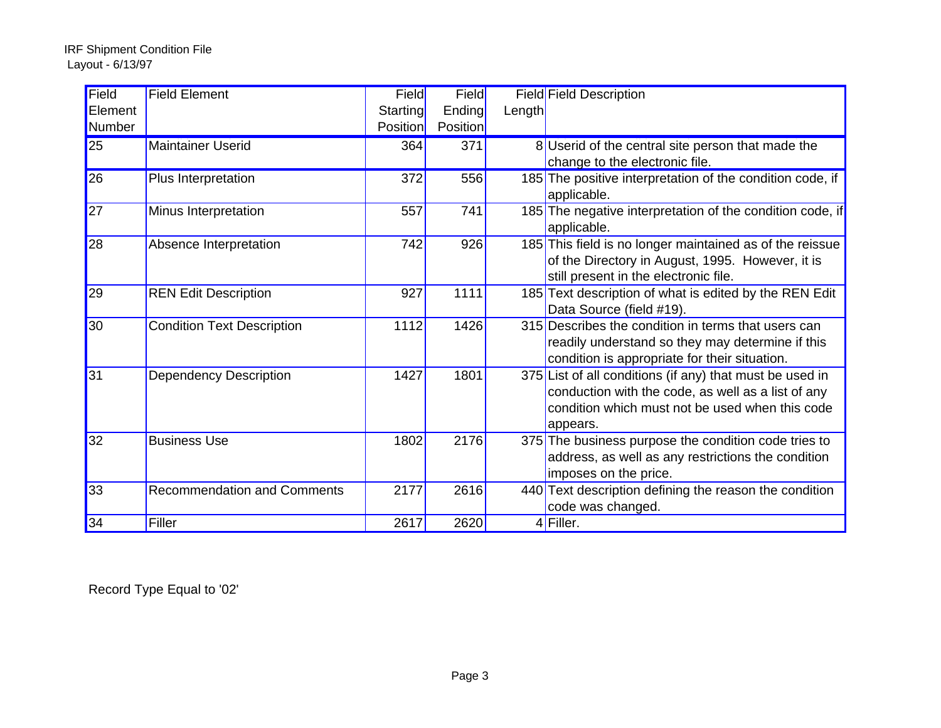| Field           | <b>Field Element</b>               | Field           | Field           |        | <b>Field Field Description</b>                            |
|-----------------|------------------------------------|-----------------|-----------------|--------|-----------------------------------------------------------|
| Element         |                                    | Starting        | Ending          | Length |                                                           |
| Number          |                                    | <b>Position</b> | <b>Position</b> |        |                                                           |
| $\overline{25}$ | <b>Maintainer Userid</b>           | 364             | 371             |        | 8 Userid of the central site person that made the         |
|                 |                                    |                 |                 |        | change to the electronic file.                            |
| 26              | Plus Interpretation                | 372             | 556             |        | 185 The positive interpretation of the condition code, if |
|                 |                                    |                 |                 |        | applicable.                                               |
| 27              | Minus Interpretation               | 557             | 741             |        | 185 The negative interpretation of the condition code, if |
|                 |                                    |                 |                 |        | applicable.                                               |
| 28              | Absence Interpretation             | 742             | 926             |        | 185 This field is no longer maintained as of the reissue  |
|                 |                                    |                 |                 |        | of the Directory in August, 1995. However, it is          |
|                 |                                    |                 |                 |        | still present in the electronic file.                     |
| 29              | <b>REN Edit Description</b>        | 927             | 1111            |        | 185 Text description of what is edited by the REN Edit    |
|                 |                                    |                 |                 |        | Data Source (field #19).                                  |
| 30              | <b>Condition Text Description</b>  | 1112            | 1426            |        | 315 Describes the condition in terms that users can       |
|                 |                                    |                 |                 |        | readily understand so they may determine if this          |
|                 |                                    |                 |                 |        | condition is appropriate for their situation.             |
| 31              | <b>Dependency Description</b>      | 1427            | 1801            |        | 375 List of all conditions (if any) that must be used in  |
|                 |                                    |                 |                 |        | conduction with the code, as well as a list of any        |
|                 |                                    |                 |                 |        | condition which must not be used when this code           |
|                 |                                    |                 |                 |        | appears.                                                  |
| 32              | <b>Business Use</b>                | 1802            | 2176            |        | 375 The business purpose the condition code tries to      |
|                 |                                    |                 |                 |        | address, as well as any restrictions the condition        |
|                 |                                    |                 |                 |        | imposes on the price.                                     |
| 33              | <b>Recommendation and Comments</b> | 2177            | 2616            |        | 440 Text description defining the reason the condition    |
|                 |                                    |                 |                 |        | code was changed.                                         |
| 34              | Filler                             | 2617            | 2620            |        | $4$ Filler.                                               |

Record Type Equal to '02'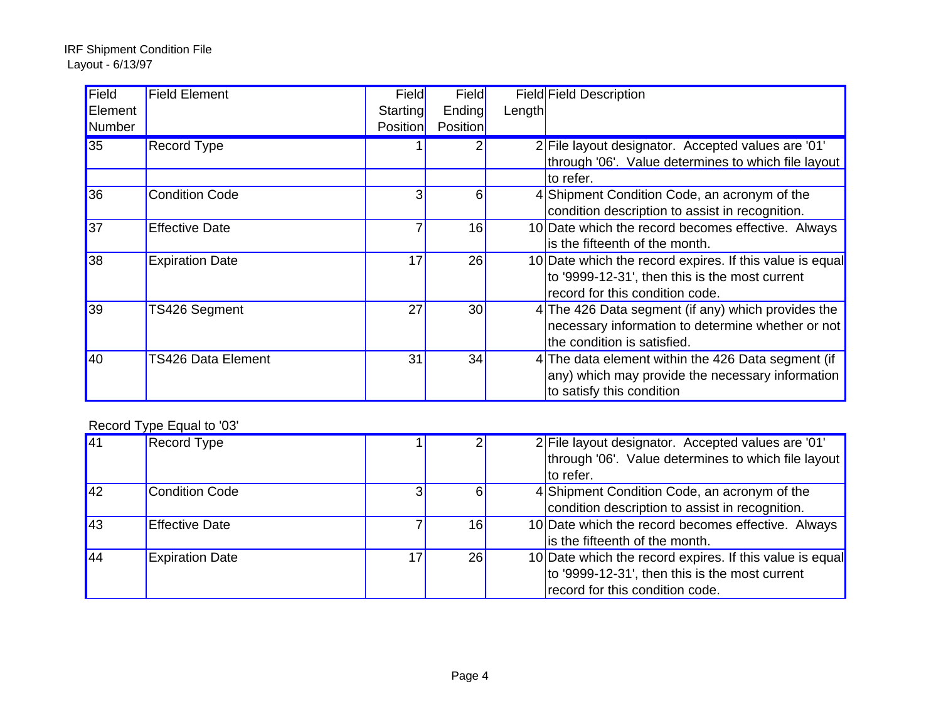| <b>Field</b>  | <b>Field Element</b>   | Field           | Field           |        | Field Field Description                                  |
|---------------|------------------------|-----------------|-----------------|--------|----------------------------------------------------------|
| Element       |                        | Starting        | Ending          | Length |                                                          |
| <b>Number</b> |                        | <b>Position</b> | <b>Position</b> |        |                                                          |
| 35            | Record Type            |                 |                 |        | 2 File layout designator. Accepted values are '01'       |
|               |                        |                 |                 |        | through '06'. Value determines to which file layout      |
|               |                        |                 |                 |        | to refer.                                                |
| 36            | <b>Condition Code</b>  |                 | 6               |        | 4 Shipment Condition Code, an acronym of the             |
|               |                        |                 |                 |        | condition description to assist in recognition.          |
| 37            | <b>Effective Date</b>  |                 | 16              |        | 10 Date which the record becomes effective. Always       |
|               |                        |                 |                 |        | is the fifteenth of the month.                           |
| 38            | <b>Expiration Date</b> | 17              | 26              |        | 10 Date which the record expires. If this value is equal |
|               |                        |                 |                 |        | to '9999-12-31', then this is the most current           |
|               |                        |                 |                 |        | record for this condition code.                          |
| 39            | TS426 Segment          | 27              | 30              |        | 4 The 426 Data segment (if any) which provides the       |
|               |                        |                 |                 |        | necessary information to determine whether or not        |
|               |                        |                 |                 |        | the condition is satisfied.                              |
| 40            | TS426 Data Element     | 31              | 34              |        | 4 The data element within the 426 Data segment (if       |
|               |                        |                 |                 |        | any) which may provide the necessary information         |
|               |                        |                 |                 |        | to satisfy this condition                                |

## Record Type Equal to '03'

| $\sqrt{41}$      | <b>Record Type</b>     |    |    | 2 File layout designator. Accepted values are '01'       |
|------------------|------------------------|----|----|----------------------------------------------------------|
|                  |                        |    |    | through '06'. Value determines to which file layout      |
|                  |                        |    |    | to refer.                                                |
| $\sqrt{42}$      | <b>Condition Code</b>  |    | 6  | 4 Shipment Condition Code, an acronym of the             |
|                  |                        |    |    | condition description to assist in recognition.          |
| $\sqrt{43}$      | <b>Effective Date</b>  |    | 16 | 10 Date which the record becomes effective. Always       |
|                  |                        |    |    | is the fifteenth of the month.                           |
| $\vert 44 \vert$ | <b>Expiration Date</b> | 17 | 26 | 10 Date which the record expires. If this value is equal |
|                  |                        |    |    | to '9999-12-31', then this is the most current           |
|                  |                        |    |    | record for this condition code.                          |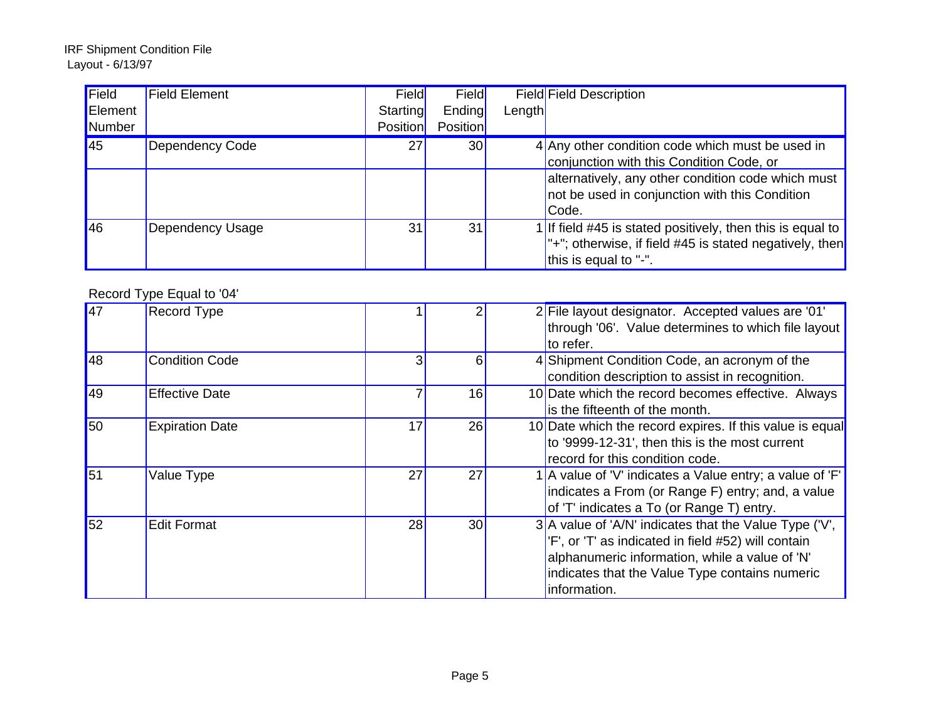| Field   | <b>Field Element</b> | Field           | Field           |        | Field Field Description                                      |
|---------|----------------------|-----------------|-----------------|--------|--------------------------------------------------------------|
| Element |                      | Starting        | Ending          | Length |                                                              |
| Number  |                      | <b>Position</b> | <b>Position</b> |        |                                                              |
| 45      | Dependency Code      | 27              | 30 <sup>1</sup> |        | 4 Any other condition code which must be used in             |
|         |                      |                 |                 |        | conjunction with this Condition Code, or                     |
|         |                      |                 |                 |        | alternatively, any other condition code which must           |
|         |                      |                 |                 |        | not be used in conjunction with this Condition               |
|         |                      |                 |                 |        | Code.                                                        |
| 46      | Dependency Usage     | 31              | 31              |        | 1 If field $#45$ is stated positively, then this is equal to |
|         |                      |                 |                 |        | $"$ +"; otherwise, if field #45 is stated negatively, then   |
|         |                      |                 |                 |        | this is equal to "-".                                        |

## Record Type Equal to '04'

| $\overline{47}$ | <b>Record Type</b>     |    |    | 2 File layout designator. Accepted values are '01'<br>through '06'. Value determines to which file layout<br>to refer.                                                                                                              |
|-----------------|------------------------|----|----|-------------------------------------------------------------------------------------------------------------------------------------------------------------------------------------------------------------------------------------|
| 48              | <b>Condition Code</b>  |    | 6  | 4 Shipment Condition Code, an acronym of the<br>condition description to assist in recognition.                                                                                                                                     |
| 49              | <b>Effective Date</b>  |    | 16 | 10 Date which the record becomes effective. Always<br>is the fifteenth of the month.                                                                                                                                                |
| 50              | <b>Expiration Date</b> | 17 | 26 | 10 Date which the record expires. If this value is equal<br>to '9999-12-31', then this is the most current<br>record for this condition code.                                                                                       |
| 51              | Value Type             | 27 | 27 | 1 A value of 'V' indicates a Value entry; a value of 'F'<br>indicates a From (or Range F) entry; and, a value<br>of 'T' indicates a To (or Range T) entry.                                                                          |
| 52              | <b>Edit Format</b>     | 28 | 30 | $3$ A value of 'A/N' indicates that the Value Type ('V',<br>'F', or 'T' as indicated in field #52) will contain<br>alphanumeric information, while a value of 'N'<br>indicates that the Value Type contains numeric<br>information. |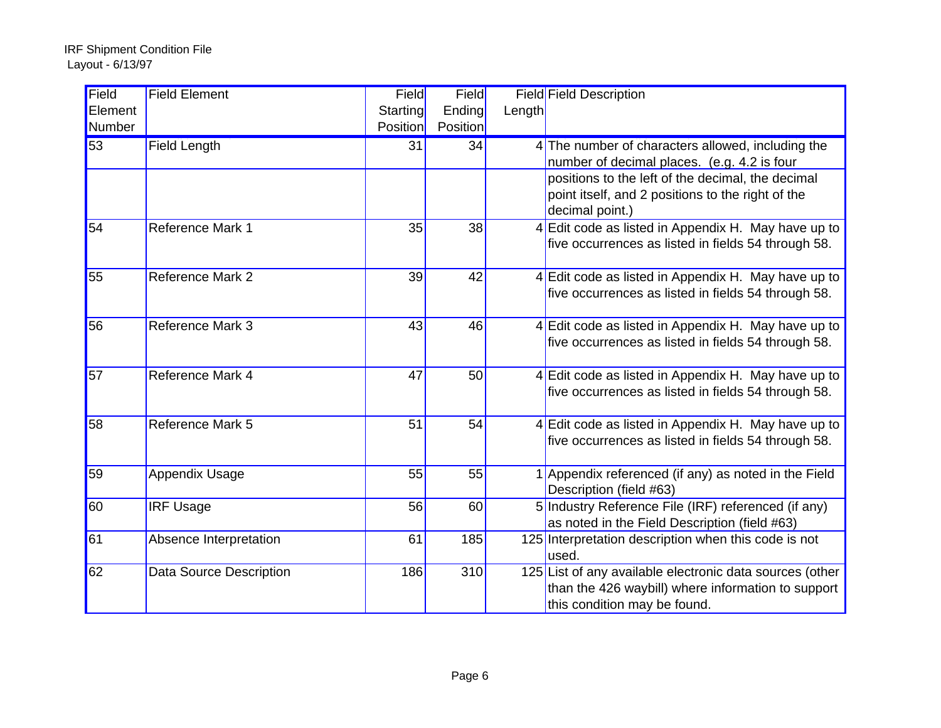| Field   | <b>Field Element</b>    | Field    | Field    |        | <b>Field Field Description</b>                           |
|---------|-------------------------|----------|----------|--------|----------------------------------------------------------|
| Element |                         | Starting | Ending   | Length |                                                          |
| Number  |                         | Position | Position |        |                                                          |
| 53      | Field Length            | 31       | 34       |        | 4 The number of characters allowed, including the        |
|         |                         |          |          |        | number of decimal places. (e.g. 4.2 is four              |
|         |                         |          |          |        | positions to the left of the decimal, the decimal        |
|         |                         |          |          |        | point itself, and 2 positions to the right of the        |
|         |                         |          |          |        | decimal point.)                                          |
| 54      | Reference Mark 1        | 35       | 38       |        | 4 Edit code as listed in Appendix H. May have up to      |
|         |                         |          |          |        | five occurrences as listed in fields 54 through 58.      |
|         |                         |          |          |        |                                                          |
| 55      | Reference Mark 2        | 39       | 42       |        | 4 Edit code as listed in Appendix H. May have up to      |
|         |                         |          |          |        | five occurrences as listed in fields 54 through 58.      |
|         |                         |          |          |        |                                                          |
| 56      | <b>Reference Mark 3</b> | 43       | 46       |        | 4 Edit code as listed in Appendix H. May have up to      |
|         |                         |          |          |        | five occurrences as listed in fields 54 through 58.      |
|         |                         |          |          |        |                                                          |
| 57      | Reference Mark 4        | 47       | 50       |        | 4 Edit code as listed in Appendix H. May have up to      |
|         |                         |          |          |        | five occurrences as listed in fields 54 through 58.      |
|         |                         |          |          |        |                                                          |
| 58      | Reference Mark 5        | 51       | 54       |        | 4 Edit code as listed in Appendix H. May have up to      |
|         |                         |          |          |        | five occurrences as listed in fields 54 through 58.      |
|         |                         |          |          |        |                                                          |
| 59      | <b>Appendix Usage</b>   | 55       | 55       |        | 1 Appendix referenced (if any) as noted in the Field     |
|         |                         |          |          |        | Description (field #63)                                  |
| 60      | <b>IRF Usage</b>        | 56       | 60       |        | 5 Industry Reference File (IRF) referenced (if any)      |
|         |                         |          |          |        | as noted in the Field Description (field #63)            |
| 61      | Absence Interpretation  | 61       | 185      |        | 125 Interpretation description when this code is not     |
|         |                         |          |          |        | used.                                                    |
| 62      | Data Source Description | 186      | 310      |        | 125 List of any available electronic data sources (other |
|         |                         |          |          |        | than the 426 waybill) where information to support       |
|         |                         |          |          |        | this condition may be found.                             |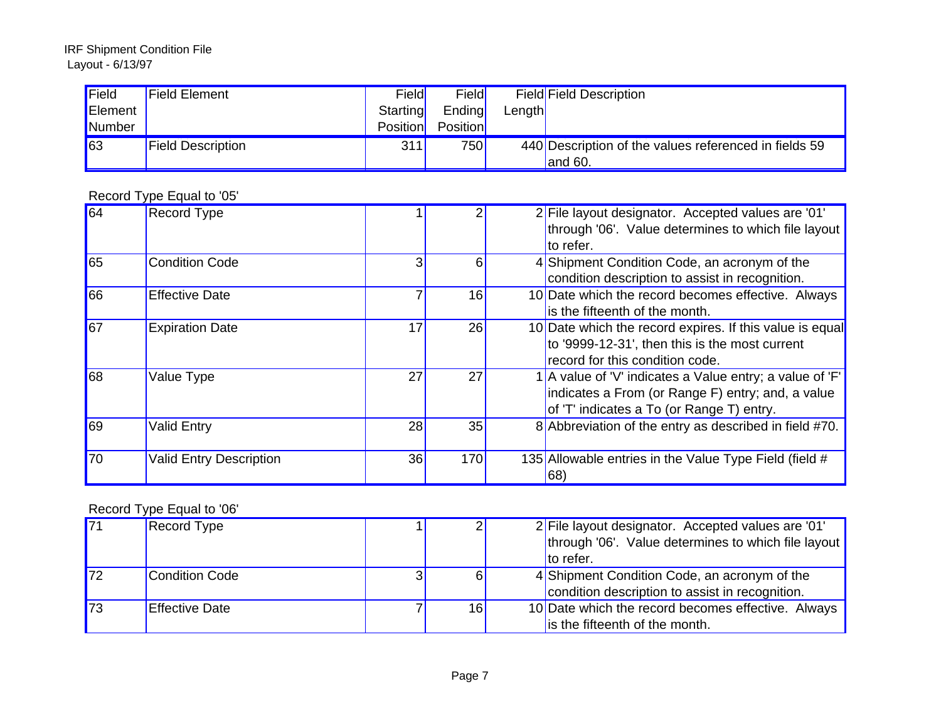| Field      | <b>Field Element</b>     | Field    | Field    |        | Field Field Description                               |
|------------|--------------------------|----------|----------|--------|-------------------------------------------------------|
| Element    |                          | Starting | Ending   | Length |                                                       |
| Number     |                          | Position | Position |        |                                                       |
| $\vert$ 63 | <b>Field Description</b> | 311      | 750      |        | 440 Description of the values referenced in fields 59 |
|            |                          |          |          |        | land $60.$                                            |

Record Type Equal to '05'

| 64              | <b>Record Type</b>             |    |     | 2 File layout designator. Accepted values are '01'       |
|-----------------|--------------------------------|----|-----|----------------------------------------------------------|
|                 |                                |    |     | through '06'. Value determines to which file layout      |
|                 |                                |    |     | to refer.                                                |
| 65              | <b>Condition Code</b>          |    | 6   | 4 Shipment Condition Code, an acronym of the             |
|                 |                                |    |     | condition description to assist in recognition.          |
| 66              | <b>Effective Date</b>          |    | 16  | 10 Date which the record becomes effective. Always       |
|                 |                                |    |     | is the fifteenth of the month.                           |
| $\overline{67}$ | <b>Expiration Date</b>         | 17 | 26  | 10 Date which the record expires. If this value is equal |
|                 |                                |    |     | to '9999-12-31', then this is the most current           |
|                 |                                |    |     | record for this condition code.                          |
| 68              | Value Type                     | 27 | 27  | 1 A value of 'V' indicates a Value entry; a value of 'F' |
|                 |                                |    |     | indicates a From (or Range F) entry; and, a value        |
|                 |                                |    |     | of 'T' indicates a To (or Range T) entry.                |
| 69              | <b>Valid Entry</b>             | 28 | 35  | 8 Abbreviation of the entry as described in field #70.   |
|                 |                                |    |     |                                                          |
| 70              | <b>Valid Entry Description</b> | 36 | 170 | 135 Allowable entries in the Value Type Field (field #   |
|                 |                                |    |     | $ 68\rangle$                                             |

## Record Type Equal to '06'

| $\overline{71}$ | <b>Record Type</b>    |    | 2 File layout designator. Accepted values are '01'         |
|-----------------|-----------------------|----|------------------------------------------------------------|
|                 |                       |    | <b>through '06'. Value determines to which file layout</b> |
|                 |                       |    | to refer.                                                  |
| 172             | <b>Condition Code</b> |    | 4 Shipment Condition Code, an acronym of the               |
|                 |                       |    | condition description to assist in recognition.            |
| $\vert$ 73      | <b>Effective Date</b> | 16 | 10 Date which the record becomes effective. Always         |
|                 |                       |    | is the fifteenth of the month.                             |